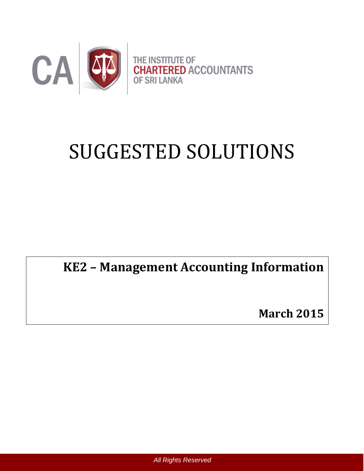

# SUGGESTED SOLUTIONS

## **KE2 – Management Accounting Information**

**March 2015**

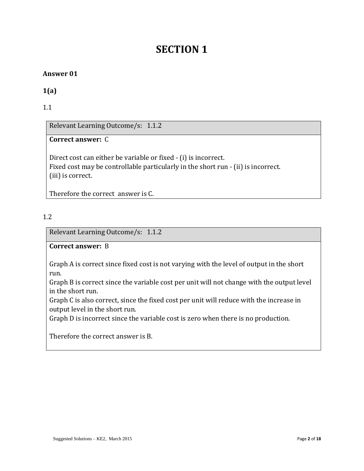## **SECTION 1**

#### **Answer 01**

#### **1(a)**

1.1

Relevant Learning Outcome/s: 1.1.2

#### **Correct answer:** C

Direct cost can either be variable or fixed - (i) is incorrect. Fixed cost may be controllable particularly in the short run - (ii) is incorrect. (iii) is correct.

Therefore the correct answer is C.

#### 1.2

Relevant Learning Outcome/s: 1.1.2

#### **Correct answer:** B

Graph A is correct since fixed cost is not varying with the level of output in the short run.

Graph B is correct since the variable cost per unit will not change with the output level in the short run.

Graph C is also correct, since the fixed cost per unit will reduce with the increase in output level in the short run.

Graph D is incorrect since the variable cost is zero when there is no production.

Therefore the correct answer is B.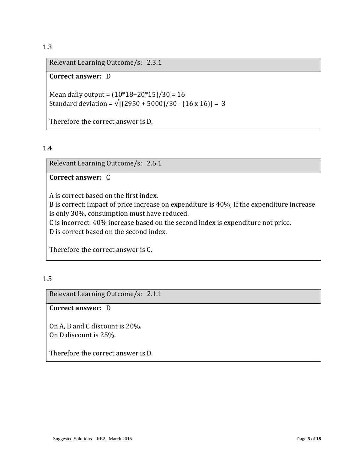Relevant Learning Outcome/s: 2.3.1

#### **Correct answer:** D

Mean daily output =  $(10*18+20*15)/30 = 16$ Standard deviation =  $\sqrt{(2950 + 5000)/30 - (16 \times 16)}$  = 3

Therefore the correct answer is D.

#### 1.4

Relevant Learning Outcome/s: 2.6.1

#### **Correct answer:** C

A is correct based on the first index.

B is correct: impact of price increase on expenditure is 40%; If the expenditure increase is only 30%, consumption must have reduced.

C is incorrect: 40% increase based on the second index is expenditure not price.

D is correct based on the second index.

Therefore the correct answer is C.

#### 1.5

Relevant Learning Outcome/s: 2.1.1

#### **Correct answer:** D

On A, B and C discount is 20%. On D discount is 25%.

Therefore the correct answer is D.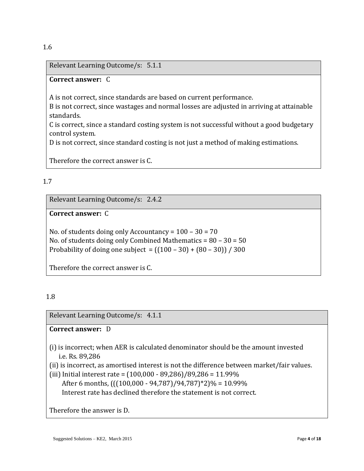#### Relevant Learning Outcome/s: 5.1.1

#### **Correct answer:** C

A is not correct, since standards are based on current performance.

B is not correct, since wastages and normal losses are adjusted in arriving at attainable standards.

C is correct, since a standard costing system is not successful without a good budgetary control system.

D is not correct, since standard costing is not just a method of making estimations.

Therefore the correct answer is C.

#### 1.7

Relevant Learning Outcome/s: 2.4.2

**Correct answer:** C

No. of students doing only Accountancy = 100 – 30 = 70 No. of students doing only Combined Mathematics = 80 – 30 = 50 Probability of doing one subject =  $((100 - 30) + (80 - 30)) / 300$ 

Therefore the correct answer is C.

#### 1.8

Relevant Learning Outcome/s: 4.1.1

**Correct answer:** D

- (i) is incorrect; when AER is calculated denominator should be the amount invested i.e. Rs. 89,286
- (ii) is incorrect, as amortised interest is not the difference between market/fair values.
- (iii) Initial interest rate = (100,000 89,286)/89,286 = 11.99% After 6 months, (((100,000 - 94,787)/94,787)\*2)% = 10.99% Interest rate has declined therefore the statement is not correct.

Therefore the answer is D.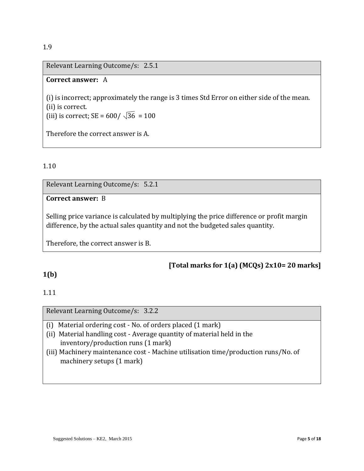Relevant Learning Outcome/s: 2.5.1

#### **Correct answer:** A

(i) is incorrect; approximately the range is 3 times Std Error on either side of the mean. (ii) is correct.

(iii) is correct;  $SE = 600 / \sqrt{36} = 100$ 

Therefore the correct answer is A.

#### 1.10

Relevant Learning Outcome/s: 5.2.1

#### **Correct answer:** B

Selling price variance is calculated by multiplying the price difference or profit margin difference, by the actual sales quantity and not the budgeted sales quantity.

Therefore, the correct answer is B.

#### **[Total marks for 1(a) (MCQs) 2x10= 20 marks]**

#### **1(b)**

#### 1.11

Relevant Learning Outcome/s: 3.2.2

- (i) Material ordering cost No. of orders placed (1 mark)
- (ii) Material handling cost Average quantity of material held in the inventory/production runs (1 mark)
- (iii) Machinery maintenance cost Machine utilisation time/production runs/No. of machinery setups (1 mark)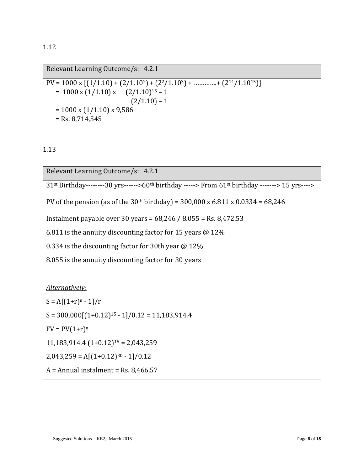Relevant Learning Outcome/s: 4.2.1  $PV = 1000 \times [(1/1.10) + (2/1.10^2) + (2^2/1.10^3) + \dots + (2^{14}/1.10^{15})]$  $= 1000 \text{ x } (1/1.10) \text{ x } \quad (2/1.10)^{15} - 1$  $(2/1.10) - 1$  $= 1000 \text{ x } (1/1.10) \text{ x } 9,586$  $=$  Rs. 8,714,545

1.13

Relevant Learning Outcome/s: 4.2.1 31st Birthday--------30 yrs------>60th birthday -----> From 61st birthday -------> 15 yrs----> PV of the pension (as of the  $30<sup>th</sup>$  birthday) =  $300,000$  x  $6.811$  x  $0.0334$  =  $68,246$ Instalment payable over 30 years = 68,246 / 8.055 = Rs. 8,472.53 6.811 is the annuity discounting factor for 15 years  $\omega$  12% 0.334 is the discounting factor for 30th year @ 12% 8.055 is the annuity discounting factor for 30 years *Alternatively;*  $S = A[(1+r)^n - 1]/r$  $S = 300,000[(1+0.12)^{15} - 1]/0.12 = 11,183,914.4$  $FV = PV(1+r)^n$  $11,183,914.4$   $(1+0.12)^{15}$  = 2,043,259  $2,043,259 = A[(1+0.12)^{30} - 1]/0.12$  $A =$  Annual instalment = Rs. 8,466.57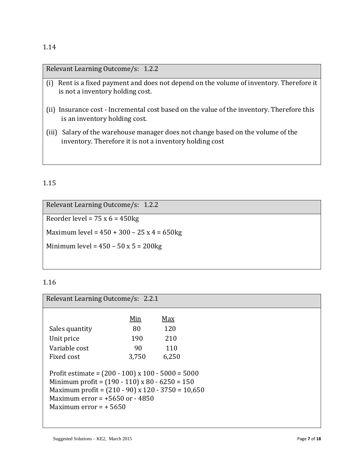Relevant Learning Outcome/s: 1.2.2

- (i) Rent is a fixed payment and does not depend on the volume of inventory. Therefore it is not a inventory holding cost.
- (ii) Insurance cost Incremental cost based on the value of the inventory. Therefore this is an inventory holding cost.
- (iii) Salary of the warehouse manager does not change based on the volume of the inventory. Therefore it is not a inventory holding cost

#### 1.15

Relevant Learning Outcome/s: 1.2.2 Reorder level =  $75 \times 6 = 450$ kg Maximum level =  $450 + 300 - 25x + 4 = 650kg$ Minimum level =  $450 - 50 \times 5 = 200$ kg

#### 1.16

Relevant Learning Outcome/s: 2.2.1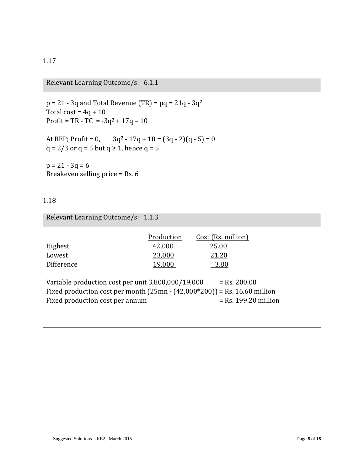Relevant Learning Outcome/s: 6.1.1

 $p = 21 - 3q$  and Total Revenue (TR) =  $pq = 21q - 3q^2$ Total cost =  $4q + 10$ Profit = TR - TC =  $-3q^2 + 17q - 10$ At BEP; Profit = 0,  $3q^2 - 17q + 10 = (3q - 2)(q - 5) = 0$ q = 2/3 or q = 5 but q  $\geq$  1, hence q = 5  $p = 21 - 3q = 6$ Breakeven selling price =  $Rs. 6$ 

#### 1.18

| Relevant Learning Outcome/s: 1.1.3                                                                                                                                   |                                          |                                              |  |
|----------------------------------------------------------------------------------------------------------------------------------------------------------------------|------------------------------------------|----------------------------------------------|--|
| Highest<br>Lowest<br>Difference                                                                                                                                      | Production<br>42,000<br>23,000<br>19,000 | Cost (Rs. million)<br>25.00<br>21.20<br>3.80 |  |
| Variable production cost per unit 3,800,000/19,000<br>Fixed production cost per month $(25mn - (42,000*200)) = Rs. 16.60$ million<br>Fixed production cost per annum |                                          | $=$ Rs. 200.00<br>$=$ Rs. 199.20 million     |  |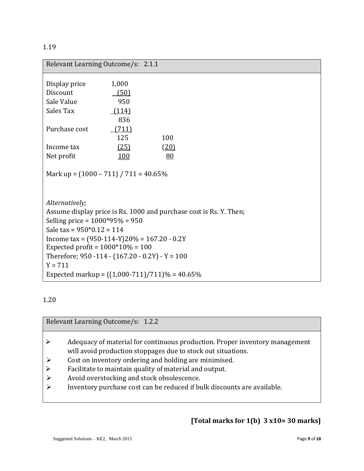| Relevant Learning Outcome/s: 2.1.1                                                                               |            |                                                                    |
|------------------------------------------------------------------------------------------------------------------|------------|--------------------------------------------------------------------|
|                                                                                                                  | 1,000      |                                                                    |
| Display price                                                                                                    |            |                                                                    |
| Discount                                                                                                         | (50)       |                                                                    |
| Sale Value                                                                                                       | 950        |                                                                    |
| Sales Tax                                                                                                        | (114)      |                                                                    |
|                                                                                                                  | 836        |                                                                    |
| Purchase cost                                                                                                    | (711)      |                                                                    |
|                                                                                                                  | 125        | 100                                                                |
| Income tax                                                                                                       | (25)       | (20)                                                               |
| Net profit                                                                                                       | <b>100</b> | 80                                                                 |
| Mark up = $(1000 - 711) / 711 = 40.65\%$                                                                         |            |                                                                    |
| Alternatively;                                                                                                   |            |                                                                    |
| Selling price = $1000*95% = 950$<br>Sale tax = $950*0.12 = 114$<br>Income tax = $(950-114-Y)20% = 167.20 - 0.2Y$ |            | Assume display price is Rs. 1000 and purchase cost is Rs. Y. Then; |
| Expected profit = $1000*10% = 100$                                                                               |            |                                                                    |
| Therefore; $950 - 114 - (167.20 - 0.2Y) - Y = 100$<br>$Y = 711$                                                  |            |                                                                    |
|                                                                                                                  |            | Expected markup = $((1,000-711)/711)\% = 40.65\%$                  |

Relevant Learning Outcome/s: 1.2.2

- Adequacy of material for continuous production. Proper inventory management will avoid production stoppages due to stock out situations.
- $\triangleright$  Cost on inventory ordering and holding are minimised.
- Facilitate to maintain quality of material and output.
- Avoid overstocking and stock obsolescence.
- Inventory purchase cost can be reduced if bulk discounts are available.

### **[Total marks for 1(b) 3 x10= 30 marks]**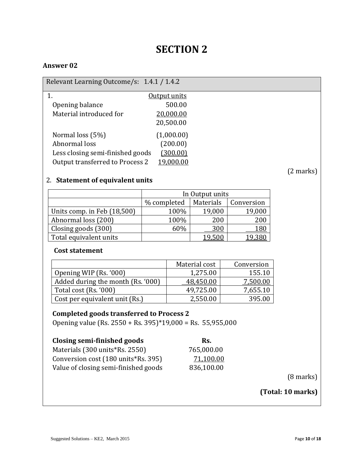## **SECTION 2**

#### **Answer 02**

Relevant Learning Outcome/s: 1.4.1 / 1.4.2

|                                  | Output units |
|----------------------------------|--------------|
| Opening balance                  | 500.00       |
| Material introduced for          | 20,000.00    |
|                                  | 20,500.00    |
| Normal loss (5%)                 | (1,000.00)   |
| Abnormal loss                    | (200.00)     |
| Less closing semi-finished goods | (300.00)     |
| Output transferred to Process 2  | 19,000.00    |
|                                  |              |

#### 2. **Statement of equivalent units**

|                             |             | In Output units |            |
|-----------------------------|-------------|-----------------|------------|
|                             | % completed | Materials       | Conversion |
| Units comp. in Feb (18,500) | 100%        | 19,000          | 19,000     |
| Abnormal loss (200)         | 100%        | 200             | 200        |
| Closing goods (300)         | 60%         | 300             | 180        |
| Total equivalent units      |             |                 |            |

#### **Cost statement**

|                                   | Material cost | Conversion |
|-----------------------------------|---------------|------------|
| Opening WIP (Rs. '000)            | 1,275.00      | 155.10     |
| Added during the month (Rs. '000) | 48,450.00     | 7,500.00   |
| Total cost (Rs. '000)             | 49,725.00     | 7,655.10   |
| Cost per equivalent unit (Rs.)    | 2,550.00      | 395.00     |

#### **Completed goods transferred to Process 2**

Opening value (Rs. 2550 + Rs. 395)\*19,000 = Rs. 55,955,000

| Closing semi-finished goods          | Rs.        |
|--------------------------------------|------------|
| Materials (300 units*Rs. 2550)       | 765,000.00 |
| Conversion cost (180 units*Rs. 395)  | 71,100.00  |
| Value of closing semi-finished goods | 836,100.00 |

(8 marks)

**(Total: 10 marks)**

(2 marks)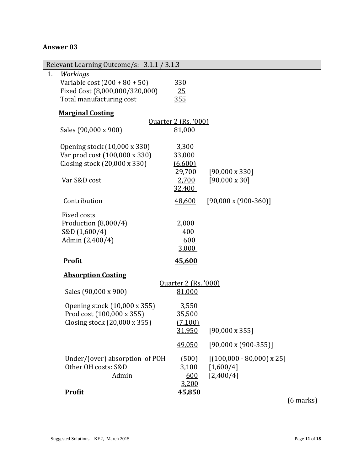#### **Answer 03**

| Relevant Learning Outcome/s: 3.1.1 / 3.1.3                                                                      |                                                         |                                                            |
|-----------------------------------------------------------------------------------------------------------------|---------------------------------------------------------|------------------------------------------------------------|
| Workings<br>1.<br>Variable cost $(200 + 80 + 50)$<br>Fixed Cost (8,000,000/320,000)<br>Total manufacturing cost | 330<br>25<br>355                                        |                                                            |
| <b>Marginal Costing</b>                                                                                         |                                                         |                                                            |
| Sales (90,000 x 900)                                                                                            | <b>Ouarter 2 (Rs. '000)</b><br>81,000                   |                                                            |
| Opening stock (10,000 x 330)<br>Var prod cost (100,000 x 330)<br>Closing stock (20,000 x 330)<br>Var S&D cost   | 3,300<br>33,000<br>(6,600)<br>29,700<br>2,700<br>32,400 | $[90,000 \times 330]$<br>$[90,000 \times 30]$              |
| Contribution                                                                                                    | 48,600                                                  | $[90,000 \times (900-360)]$                                |
| <b>Fixed costs</b><br>Production (8,000/4)<br>S&D (1,600/4)<br>Admin (2,400/4)                                  | 2,000<br>400<br>600<br>3,000                            |                                                            |
| Profit                                                                                                          | 45,600                                                  |                                                            |
| <b>Absorption Costing</b><br>Sales (90,000 x 900)                                                               | <u><b>Quarter 2 (Rs. '000)</b></u><br>81,000            |                                                            |
| Opening stock (10,000 x 355)<br>Prod cost (100,000 x 355)<br>Closing stock (20,000 x 355)                       | 3,550<br>35,500<br>(7,100)<br>31,950                    | $[90,000 \times 355]$                                      |
|                                                                                                                 | 49,050                                                  | $[90,000 \times (900-355)]$                                |
| Under/(over) absorption of POH<br>Other OH costs: S&D<br>Admin                                                  | (500)<br>3,100<br>600<br>3,200                          | $[(100,000 - 80,000) \times 25]$<br>[1,600/4]<br>[2,400/4] |
| <b>Profit</b>                                                                                                   | 45,850                                                  | $(6$ marks)                                                |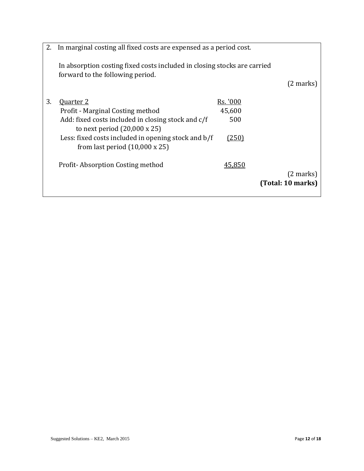| 2. | In marginal costing all fixed costs are expensed as a period cost.                                           |              |                     |
|----|--------------------------------------------------------------------------------------------------------------|--------------|---------------------|
|    | In absorption costing fixed costs included in closing stocks are carried<br>forward to the following period. |              |                     |
|    |                                                                                                              |              | $(2 \text{ marks})$ |
| 3. | <b>Ouarter 2</b>                                                                                             | Rs. '000     |                     |
|    | Profit - Marginal Costing method                                                                             | 45,600       |                     |
|    | Add: fixed costs included in closing stock and c/f<br>to next period $(20,000 \times 25)$                    | 500          |                     |
|    | Less: fixed costs included in opening stock and b/f<br>from last period $(10,000 \times 25)$                 | <u>(250)</u> |                     |
|    | Profit-Absorption Costing method                                                                             | 45,850       |                     |
|    |                                                                                                              |              | $(2 \text{ marks})$ |
|    |                                                                                                              |              | (Total: 10 marks)   |
|    |                                                                                                              |              |                     |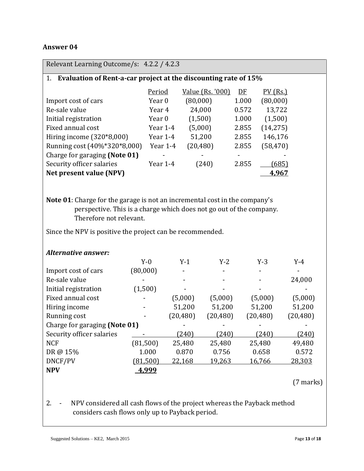#### **Answer 04**

| Relevant Learning Outcome/s: 4.2.2 / 4.2.3                                 |                   |           |                  |           |       |                          |                          |
|----------------------------------------------------------------------------|-------------------|-----------|------------------|-----------|-------|--------------------------|--------------------------|
| 1. Evaluation of Rent-a-car project at the discounting rate of 15%         |                   |           |                  |           |       |                          |                          |
|                                                                            | Period            |           | Value (Rs. '000) |           | DE    | $PV$ (Rs.)               |                          |
| Import cost of cars                                                        | Year <sub>0</sub> |           | (80,000)         |           | 1.000 | (80,000)                 |                          |
| Re-sale value                                                              | Year 4            |           | 24,000           |           | 0.572 | 13,722                   |                          |
| Initial registration                                                       | Year 0            |           | (1,500)          |           | 1.000 | (1,500)                  |                          |
| Fixed annual cost                                                          |                   | Year 1-4  | (5,000)          |           | 2.855 | (14, 275)                |                          |
| Hiring income (320*8,000)                                                  |                   | Year 1-4  | 51,200           |           | 2.855 | 146,176                  |                          |
| Running cost (40%*320*8,000)                                               |                   | Year 1-4  | (20, 480)        |           | 2.855 | (58, 470)                |                          |
| Charge for garaging (Note 01)                                              |                   |           |                  |           |       |                          |                          |
| Security officer salaries                                                  |                   | Year 1-4  | (240)            |           | 2.855 | (685)                    |                          |
| Net present value (NPV)                                                    |                   |           |                  |           |       | 4,967                    |                          |
|                                                                            |                   |           |                  |           |       |                          |                          |
|                                                                            |                   |           |                  |           |       |                          |                          |
| Note 01: Charge for the garage is not an incremental cost in the company's |                   |           |                  |           |       |                          |                          |
| perspective. This is a charge which does not go out of the company.        |                   |           |                  |           |       |                          |                          |
| Therefore not relevant.                                                    |                   |           |                  |           |       |                          |                          |
| Since the NPV is positive the project can be recommended.                  |                   |           |                  |           |       |                          |                          |
|                                                                            |                   |           |                  |           |       |                          |                          |
|                                                                            |                   |           |                  |           |       |                          |                          |
| <b>Alternative answer:</b>                                                 | $Y-0$             |           | $Y-1$            | $Y-2$     |       | $Y-3$                    | $Y-4$                    |
| Import cost of cars                                                        | (80,000)          |           |                  |           |       |                          |                          |
| Re-sale value                                                              |                   |           |                  |           |       |                          | 24,000                   |
| Initial registration                                                       | (1,500)           |           |                  |           |       |                          |                          |
| Fixed annual cost                                                          |                   |           | (5,000)          | (5,000)   |       | (5,000)                  | (5,000)                  |
| Hiring income                                                              |                   |           | 51,200           | 51,200    |       | 51,200                   | 51,200                   |
| Running cost                                                               |                   | (20, 480) |                  | (20, 480) |       | (20, 480)                | (20, 480)                |
| Charge for garaging (Note 01)                                              |                   |           |                  |           |       | $\overline{\phantom{m}}$ | $\overline{\phantom{0}}$ |
| Security officer salaries                                                  |                   |           | (240)            | (240)     |       | (240)                    | (240)                    |
| <b>NCF</b>                                                                 | (81, 500)         |           | 25,480           | 25,480    |       | 25,480                   | 49,480                   |
| DR@ 15%                                                                    | 1.000             |           | 0.870            | 0.756     |       | 0.658                    | 0.572                    |
| DNCF/PV                                                                    | (81,500)          | 22,168    |                  | 19,263    |       | 16,766                   | 28,303                   |
| <b>NPV</b>                                                                 | 4,999             |           |                  |           |       |                          |                          |
|                                                                            |                   |           |                  |           |       |                          |                          |
|                                                                            |                   |           |                  |           |       |                          | $(7$ marks)              |
|                                                                            |                   |           |                  |           |       |                          |                          |

2. - NPV considered all cash flows of the project whereas the Payback method considers cash flows only up to Payback period.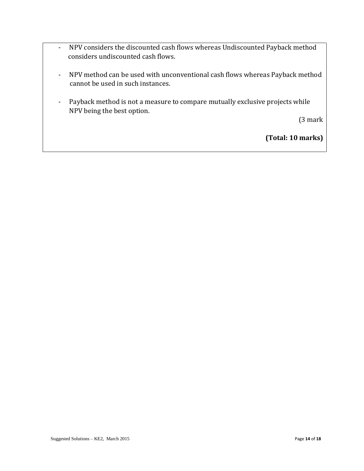- NPV considers the discounted cash flows whereas Undiscounted Payback method considers undiscounted cash flows.
- NPV method can be used with unconventional cash flows whereas Payback method cannot be used in such instances.
- Payback method is not a measure to compare mutually exclusive projects while NPV being the best option.

(3 mark

**(Total: 10 marks)**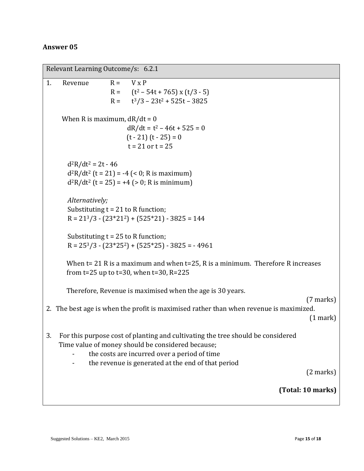#### **Answer 05**

| Relevant Learning Outcome/s: 6.2.1                                                                                                                                                                                                               |
|--------------------------------------------------------------------------------------------------------------------------------------------------------------------------------------------------------------------------------------------------|
| $R = V \times P$<br>1.<br>Revenue<br>R = $(t^2 - 54t + 765)$ x $(t/3 - 5)$<br>$R =$ $t^3/3 - 23t^2 + 525t - 3825$                                                                                                                                |
| When R is maximum, $dR/dt = 0$<br>$dR/dt = t^2 - 46t + 525 = 0$<br>$(t - 21)(t - 25) = 0$<br>$t = 21$ or $t = 25$                                                                                                                                |
| $d^2R/dt^2 = 2t - 46$<br>$d^{2}R/dt^{2}$ (t = 21) = -4 (< 0; R is maximum)<br>$d^{2}R/dt^{2}$ (t = 25) = +4 (> 0; R is minimum)                                                                                                                  |
| Alternatively;<br>Substituting $t = 21$ to R function;<br>$R = 213/3 - (23*212) + (525*21) - 3825 = 144$                                                                                                                                         |
| Substituting $t = 25$ to R function;<br>$R = 253/3 - (23*252) + (525*25) - 3825 = -4961$                                                                                                                                                         |
| When $t = 21$ R is a maximum and when $t = 25$ , R is a minimum. Therefore R increases<br>from t=25 up to t=30, when t=30, R=225                                                                                                                 |
| Therefore, Revenue is maximised when the age is 30 years.                                                                                                                                                                                        |
| $(7 \text{ marks})$<br>2. The best age is when the profit is maximised rather than when revenue is maximized.<br>$(1$ mark $)$                                                                                                                   |
| 3.<br>For this purpose cost of planting and cultivating the tree should be considered<br>Time value of money should be considered because;<br>the costs are incurred over a period of time<br>the revenue is generated at the end of that period |
| $(2 \text{ marks})$                                                                                                                                                                                                                              |
| (Total: 10 marks)                                                                                                                                                                                                                                |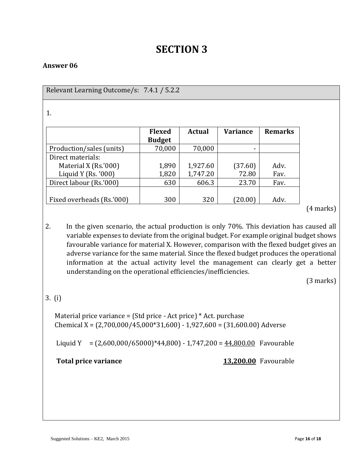## **SECTION 3**

#### **Answer 06**

| Relevant Learning Outcome/s: 7.4.1 / 5.2.2 |               |               |                 |                |
|--------------------------------------------|---------------|---------------|-----------------|----------------|
|                                            |               |               |                 |                |
| 1.                                         |               |               |                 |                |
|                                            | <b>Flexed</b> | <b>Actual</b> | <b>Variance</b> | <b>Remarks</b> |
|                                            | <b>Budget</b> |               |                 |                |
| Production/sales (units)                   | 70,000        | 70,000        | -               |                |
| Direct materials:                          |               |               |                 |                |
| Material X (Rs.'000)                       | 1,890         | 1,927.60      | (37.60)         | Adv.           |
| Liquid Y (Rs. $'000$ )                     | 1,820         | 1,747.20      | 72.80           | Fav.           |
| Direct labour (Rs.'000)                    | 630           | 606.3         | 23.70           | Fav.           |
|                                            |               |               |                 |                |
| Fixed overheads (Rs.'000)                  | 300           | 320           | (20.00)         | Adv.           |
|                                            |               |               |                 |                |

2. In the given scenario, the actual production is only 70%. This deviation has caused all variable expenses to deviate from the original budget. For example original budget shows favourable variance for material X. However, comparison with the flexed budget gives an adverse variance for the same material. Since the flexed budget produces the operational information at the actual activity level the management can clearly get a better understanding on the operational efficiencies/inefficiencies.

(3 marks)

#### 3. (i)

 Material price variance = (Std price - Act price) \* Act. purchase Chemical X = (2,700,000/45,000\*31,600) - 1,927,600 = (31,600.00) Adverse

Liquid Y =  $(2,600,000/65000)*44,800 - 1,747,200 = 44,800.00$  Favourable

**Total price variance** 13,200.00 Favourable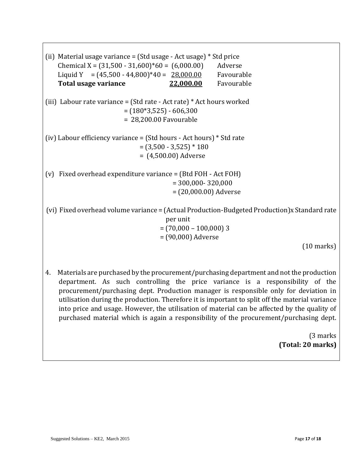| (ii) Material usage variance = (Std usage - Act usage) * Std price<br>Chemical X = $(31,500 - 31,600)*60 = (6,000.00)$<br>Liquid Y = $(45,500 - 44,800)*40 = 28,000.00$<br>Total usage variance<br>22,000.00 | Adverse<br>Favourable<br>Favourable |
|--------------------------------------------------------------------------------------------------------------------------------------------------------------------------------------------------------------|-------------------------------------|
| (iii) Labour rate variance = (Std rate - Act rate) $*$ Act hours worked<br>$= (180*3,525) - 606,300$<br>$= 28,200.00$ Favourable                                                                             |                                     |
| (iv) Labour efficiency variance = $(Std hours - Act hours) * Std rate$<br>$=(3,500 - 3,525) * 180$<br>$= (4,500.00)$ Adverse                                                                                 |                                     |
| Fixed overhead expenditure variance = (Btd FOH - Act FOH)<br>(v)<br>$= 300,000 - 320,000$<br>$= (20,000.00)$ Adverse                                                                                         |                                     |
| (vi) Fixed overhead volume variance = (Actual Production-Budgeted Production)x Standard rate<br>per unit<br>$= (70,000 - 100,000)$ 3<br>$= (90,000)$ Adverse                                                 | $(10 \text{ marks})$                |

4. Materials are purchased by the procurement/purchasing department and not the production department. As such controlling the price variance is a responsibility of the procurement/purchasing dept. Production manager is responsible only for deviation in utilisation during the production. Therefore it is important to split off the material variance into price and usage. However, the utilisation of material can be affected by the quality of purchased material which is again a responsibility of the procurement/purchasing dept.

> (3 marks **(Total: 20 marks)**